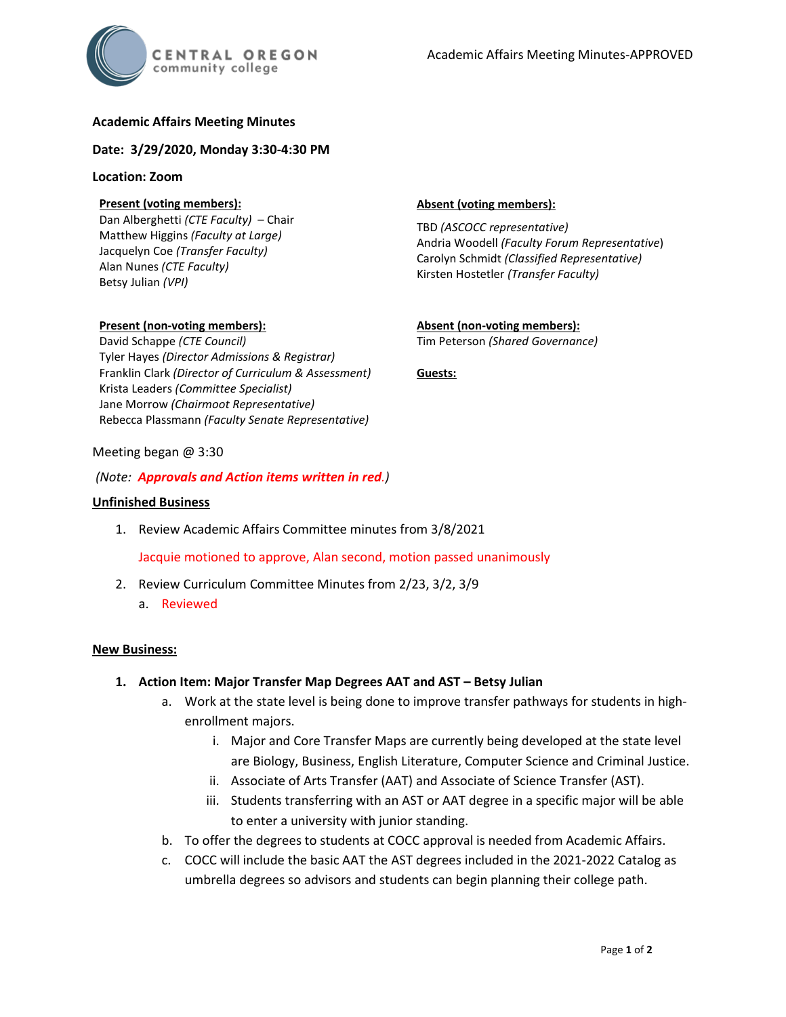# **Academic Affairs Meeting Minutes**

**Date: 3/29/2020, Monday 3:30-4:30 PM**

### **Location: Zoom**

## **Present (voting members):**

Dan Alberghetti *(CTE Faculty)* – Chair Matthew Higgins *(Faculty at Large)* Jacquelyn Coe *(Transfer Faculty)*  Alan Nunes *(CTE Faculty)* Betsy Julian *(VPI)*

**Present (non-voting members):** David Schappe *(CTE Council)*

Krista Leaders *(Committee Specialist)* Jane Morrow *(Chairmoot Representative)*

Tyler Hayes *(Director Admissions & Registrar)* Franklin Clark *(Director of Curriculum & Assessment)*

## **Absent (voting members):**

TBD *(ASCOCC representative)* Andria Woodell *(Faculty Forum Representative*) Carolyn Schmidt *(Classified Representative)* Kirsten Hostetler *(Transfer Faculty)*

**Absent (non-voting members):** Tim Peterson *(Shared Governance)*

**Guests:**

# Meeting began @ 3:30

## *(Note: Approvals and Action items written in red.)*

Rebecca Plassmann *(Faculty Senate Representative)*

### **Unfinished Business**

1. Review Academic Affairs Committee minutes from 3/8/2021

Jacquie motioned to approve, Alan second, motion passed unanimously

- 2. Review Curriculum Committee Minutes from 2/23, 3/2, 3/9
	- a. Reviewed

## **New Business:**

- **1. Action Item: Major Transfer Map Degrees AAT and AST – Betsy Julian**
	- a. Work at the state level is being done to improve transfer pathways for students in highenrollment majors.
		- i. Major and Core Transfer Maps are currently being developed at the state level are Biology, Business, English Literature, Computer Science and Criminal Justice.
		- ii. Associate of Arts Transfer (AAT) and Associate of Science Transfer (AST).
		- iii. Students transferring with an AST or AAT degree in a specific major will be able to enter a university with junior standing.
	- b. To offer the degrees to students at COCC approval is needed from Academic Affairs.
	- c. COCC will include the basic AAT the AST degrees included in the 2021-2022 Catalog as umbrella degrees so advisors and students can begin planning their college path.